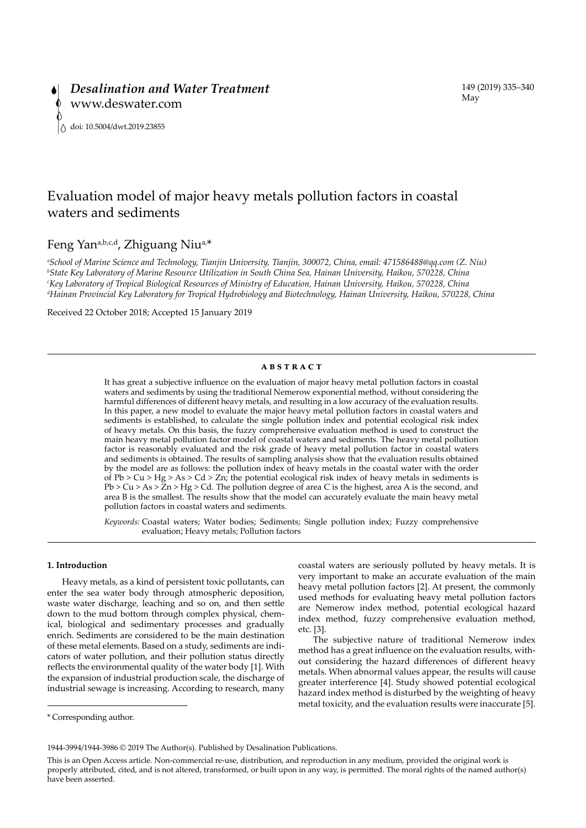# Evaluation model of major heavy metals pollution factors in coastal waters and sediments

## Feng Yana,b,c,d, Zhiguang Niua,\*

*a School of Marine Science and Technology, Tianjin University, Tianjin, 300072, China, email: 471586488@qq.com (Z. Niu) b State Key Laboratory of Marine Resource Utilization in South China Sea, Hainan University, Haikou, 570228, China c Key Laboratory of Tropical Biological Resources of Ministry of Education, Hainan University, Haikou, 570228, China d Hainan Provincial Key Laboratory for Tropical Hydrobiology and Biotechnology, Hainan University, Haikou, 570228, China*

Received 22 October 2018; Accepted 15 January 2019

### **ABSTRACT**

It has great a subjective influence on the evaluation of major heavy metal pollution factors in coastal waters and sediments by using the traditional Nemerow exponential method, without considering the harmful differences of different heavy metals, and resulting in a low accuracy of the evaluation results. In this paper, a new model to evaluate the major heavy metal pollution factors in coastal waters and sediments is established, to calculate the single pollution index and potential ecological risk index of heavy metals. On this basis, the fuzzy comprehensive evaluation method is used to construct the main heavy metal pollution factor model of coastal waters and sediments. The heavy metal pollution factor is reasonably evaluated and the risk grade of heavy metal pollution factor in coastal waters and sediments is obtained. The results of sampling analysis show that the evaluation results obtained by the model are as follows: the pollution index of heavy metals in the coastal water with the order of  $Pb > Cu > Hg > As > Cd > Zn$ ; the potential ecological risk index of heavy metals in sediments is  $Pb > Cu > As > Zn > Hg > Cd$ . The pollution degree of area C is the highest, area A is the second, and area B is the smallest. The results show that the model can accurately evaluate the main heavy metal pollution factors in coastal waters and sediments.

*Keywords:* Coastal waters; Water bodies; Sediments; Single pollution index; Fuzzy comprehensive evaluation; Heavy metals; Pollution factors

## **1. Introduction**

Heavy metals, as a kind of persistent toxic pollutants, can enter the sea water body through atmospheric deposition, waste water discharge, leaching and so on, and then settle down to the mud bottom through complex physical, chemical, biological and sedimentary processes and gradually enrich. Sediments are considered to be the main destination of these metal elements. Based on a study, sediments are indicators of water pollution, and their pollution status directly reflects the environmental quality of the water body [1]. With the expansion of industrial production scale, the discharge of industrial sewage is increasing. According to research, many

coastal waters are seriously polluted by heavy metals. It is very important to make an accurate evaluation of the main heavy metal pollution factors [2]. At present, the commonly used methods for evaluating heavy metal pollution factors are Nemerow index method, potential ecological hazard index method, fuzzy comprehensive evaluation method, etc. [3].

The subjective nature of traditional Nemerow index method has a great influence on the evaluation results, without considering the hazard differences of different heavy metals. When abnormal values appear, the results will cause greater interference [4]. Study showed potential ecological hazard index method is disturbed by the weighting of heavy metal toxicity, and the evaluation results were inaccurate [5].

<sup>\*</sup> Corresponding author.

<sup>1944-3994/1944-3986 © 2019</sup> The Author(s). Published by Desalination Publications.

This is an Open Access article. Non-commercial re-use, distribution, and reproduction in any medium, provided the original work is properly attributed, cited, and is not altered, transformed, or built upon in any way, is permitted. The moral rights of the named author(s) have been asserted.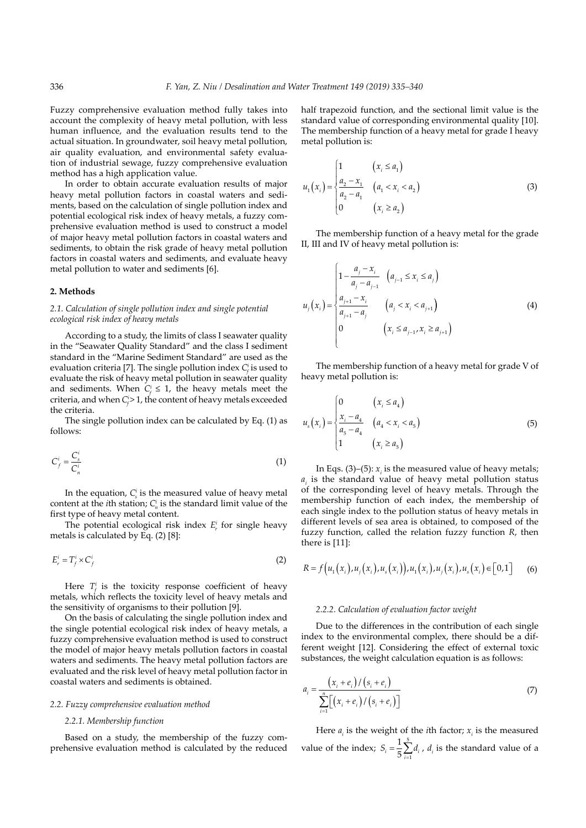Fuzzy comprehensive evaluation method fully takes into account the complexity of heavy metal pollution, with less human influence, and the evaluation results tend to the actual situation. In groundwater, soil heavy metal pollution, air quality evaluation, and environmental safety evaluation of industrial sewage, fuzzy comprehensive evaluation method has a high application value.

In order to obtain accurate evaluation results of major heavy metal pollution factors in coastal waters and sediments, based on the calculation of single pollution index and potential ecological risk index of heavy metals, a fuzzy comprehensive evaluation method is used to construct a model of major heavy metal pollution factors in coastal waters and sediments, to obtain the risk grade of heavy metal pollution factors in coastal waters and sediments, and evaluate heavy metal pollution to water and sediments [6].

## **2. Methods**

*2.1. Calculation of single pollution index and single potential ecological risk index of heavy metals*

According to a study, the limits of class I seawater quality in the "Seawater Quality Standard" and the class I sediment standard in the "Marine Sediment Standard" are used as the evaluation criteria [7]. The single pollution index *Ci <sup>f</sup>*is used to evaluate the risk of heavy metal pollution in seawater quality and sediments. When  $C_f^i \leq 1$ , the heavy metals meet the criteria, and when  $C_f^i$  > 1, the content of heavy metals exceeded the criteria.

The single pollution index can be calculated by Eq. (1) as follows:

$$
C_f^i = \frac{C_s^i}{C_n^i} \tag{1}
$$

In the equation,  $C_s^i$  is the measured value of heavy metal content at the *i*th station;  $C_n^i$  is the standard limit value of the first type of heavy metal content.

The potential ecological risk index  $E_r^i$  for single heavy metals is calculated by Eq. (2) [8]:

$$
E_r^i = T_f^i \times C_f^i \tag{2}
$$

Here  $T_f^i$  is the toxicity response coefficient of heavy metals, which reflects the toxicity level of heavy metals and the sensitivity of organisms to their pollution [9].

On the basis of calculating the single pollution index and the single potential ecological risk index of heavy metals, a fuzzy comprehensive evaluation method is used to construct the model of major heavy metals pollution factors in coastal waters and sediments. The heavy metal pollution factors are evaluated and the risk level of heavy metal pollution factor in coastal waters and sediments is obtained.

## *2.2. Fuzzy comprehensive evaluation method*

#### *2.2.1. Membership function*

Based on a study, the membership of the fuzzy comprehensive evaluation method is calculated by the reduced half trapezoid function, and the sectional limit value is the standard value of corresponding environmental quality [10]. The membership function of a heavy metal for grade I heavy metal pollution is:

$$
u_1(x_i) = \begin{cases} 1 & (x_i \le a_1) \\ \frac{a_2 - x_1}{a_2 - a_1} & (a_1 < x_i < a_2) \\ 0 & (x_i \ge a_2) \end{cases} \tag{3}
$$

The membership function of a heavy metal for the grade II, III and IV of heavy metal pollution is:

$$
u_{j}(x_{i}) = \begin{cases} 1 - \frac{a_{j} - x_{i}}{a_{j} - a_{j-1}} & (a_{j-1} \leq x_{i} \leq a_{j}) \\ \frac{a_{j+1} - x_{i}}{a_{j+1} - a_{j}} & (a_{j} < x_{i} < a_{j+1}) \\ 0 & (x_{i} \leq a_{j-1}, x_{i} \geq a_{j+1}) \end{cases} \tag{4}
$$

The membership function of a heavy metal for grade V of heavy metal pollution is:

$$
u_s(x_i) = \begin{cases} 0 & (x_i \le a_4) \\ \frac{x_i - a_4}{a_5 - a_4} & (a_4 < x_i < a_5) \\ 1 & (x_i \ge a_5) \end{cases} \tag{5}
$$

In Eqs.  $(3)$ – $(5)$ :  $x_i$  is the measured value of heavy metals;  $a_i$  is the standard value of heavy metal pollution status of the corresponding level of heavy metals. Through the membership function of each index, the membership of each single index to the pollution status of heavy metals in different levels of sea area is obtained, to composed of the fuzzy function, called the relation fuzzy function *R*, then there is [11]:

$$
R = f(u_1(x_i), u_j(x_i), u_s(x_i)), u_1(x_i), u_j(x_i), u_s(x_i) \in [0,1]
$$
 (6)

## *2.2.2. Calculation of evaluation factor weight*

Due to the differences in the contribution of each single index to the environmental complex, there should be a different weight [12]. Considering the effect of external toxic substances, the weight calculation equation is as follows:

$$
a_i = \frac{(x_i + e_i) / (s_i + e_i)}{\sum_{i=1}^{n} [(x_i + e_i) / (s_i + e_i)]}
$$
(7)

Here  $a_i$  is the weight of the *i*th factor;  $x_i$  is the measured value of the index;  $S_i = \frac{1}{5} \sum_{i=1}^{n} d_i$  $=\frac{1}{5}\sum_{i=1}^{5}$  $5 \overline{)}11$  $\sum_{i=1}^{5} d_i$ ,  $d_i$  is the standard value of a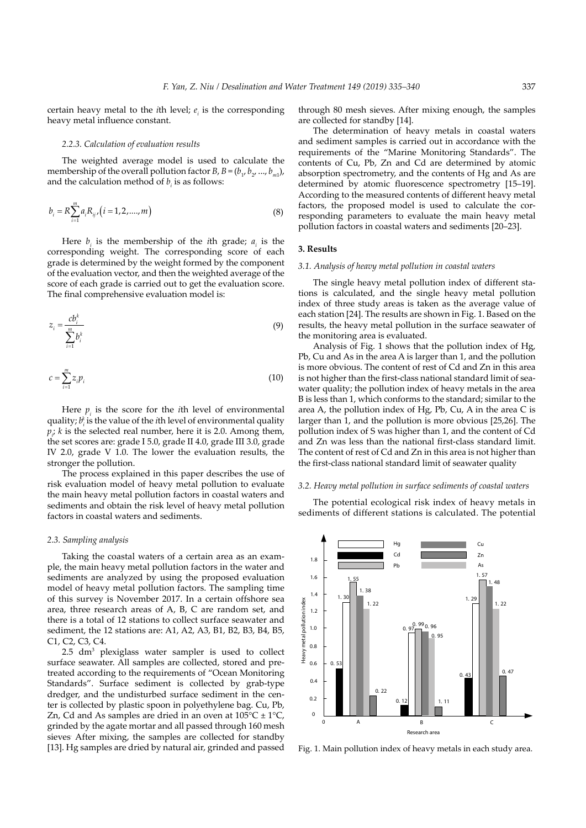certain heavy metal to the *i*th level;  $e_i$  is the corresponding heavy metal influence constant.

## *2.2.3. Calculation of evaluation results*

The weighted average model is used to calculate the membership of the overall pollution factor *B*, *B* =  $(b_1, b_2, ..., b_m)$ , and the calculation method of  $b_i$  is as follows:

$$
b_i = R \sum_{i=1}^{m} a_i R_{ij} / (i = 1, 2, \dots, m)
$$
 (8)

Here  $b_i$  is the membership of the *i*th grade;  $a_i$  is the corresponding weight. The corresponding score of each grade is determined by the weight formed by the component of the evaluation vector, and then the weighted average of the score of each grade is carried out to get the evaluation score. The final comprehensive evaluation model is:

$$
z_i = \frac{cb_i^k}{\sum_{i=1}^m b_i^k} \tag{9}
$$

$$
c = \sum_{i=1}^{m} z_i p_i \tag{10}
$$

Here  $p_i$  is the score for the *i*th level of environmental quality; *bi k* is the value of the *i*th level of environmental quality  $p_i$ ; *k* is the selected real number, here it is 2.0. Among them, the set scores are: grade I 5.0, grade II 4.0, grade III 3.0, grade IV 2.0, grade V 1.0. The lower the evaluation results, the stronger the pollution.

The process explained in this paper describes the use of risk evaluation model of heavy metal pollution to evaluate the main heavy metal pollution factors in coastal waters and sediments and obtain the risk level of heavy metal pollution factors in coastal waters and sediments.

#### *2.3. Sampling analysis*

Taking the coastal waters of a certain area as an example, the main heavy metal pollution factors in the water and sediments are analyzed by using the proposed evaluation model of heavy metal pollution factors. The sampling time of this survey is November 2017. In a certain offshore sea area, three research areas of A, B, C are random set, and there is a total of 12 stations to collect surface seawater and sediment, the 12 stations are: A1, A2, A3, B1, B2, B3, B4, B5, C1, C2, C3, C4.

2.5 dm3 plexiglass water sampler is used to collect surface seawater. All samples are collected, stored and pretreated according to the requirements of "Ocean Monitoring Standards". Surface sediment is collected by grab-type dredger, and the undisturbed surface sediment in the center is collected by plastic spoon in polyethylene bag. Cu, Pb, Zn, Cd and As samples are dried in an oven at  $105^{\circ}C \pm 1^{\circ}C$ , grinded by the agate mortar and all passed through 160 mesh sieves. After mixing, the samples are collected for standby [13]. Hg samples are dried by natural air, grinded and passed

through 80 mesh sieves. After mixing enough, the samples are collected for standby [14].

The determination of heavy metals in coastal waters and sediment samples is carried out in accordance with the requirements of the "Marine Monitoring Standards". The contents of Cu, Pb, Zn and Cd are determined by atomic absorption spectrometry, and the contents of Hg and As are determined by atomic fluorescence spectrometry [15–19]. According to the measured contents of different heavy metal factors, the proposed model is used to calculate the corresponding parameters to evaluate the main heavy metal pollution factors in coastal waters and sediments [20–23].

## **3. Results**

## *3.1. Analysis of heavy metal pollution in coastal waters*

The single heavy metal pollution index of different stations is calculated, and the single heavy metal pollution index of three study areas is taken as the average value of each station [24]. The results are shown in Fig. 1. Based on the results, the heavy metal pollution in the surface seawater of the monitoring area is evaluated.

Analysis of Fig. 1 shows that the pollution index of Hg, Pb, Cu and As in the area A is larger than 1, and the pollution is more obvious. The content of rest of Cd and Zn in this area is not higher than the first-class national standard limit of seawater quality; the pollution index of heavy metals in the area B is less than 1, which conforms to the standard; similar to the area A, the pollution index of Hg, Pb, Cu, A in the area C is larger than 1, and the pollution is more obvious [25,26]. The pollution index of S was higher than 1, and the content of Cd and Zn was less than the national first-class standard limit. The content of rest of Cd and Zn in this area is not higher than the first-class national standard limit of seawater quality

#### *3.2. Heavy metal pollution in surface sediments of coastal waters*

The potential ecological risk index of heavy metals in sediments of different stations is calculated. The potential



Fig. 1. Main pollution index of heavy metals in each study area.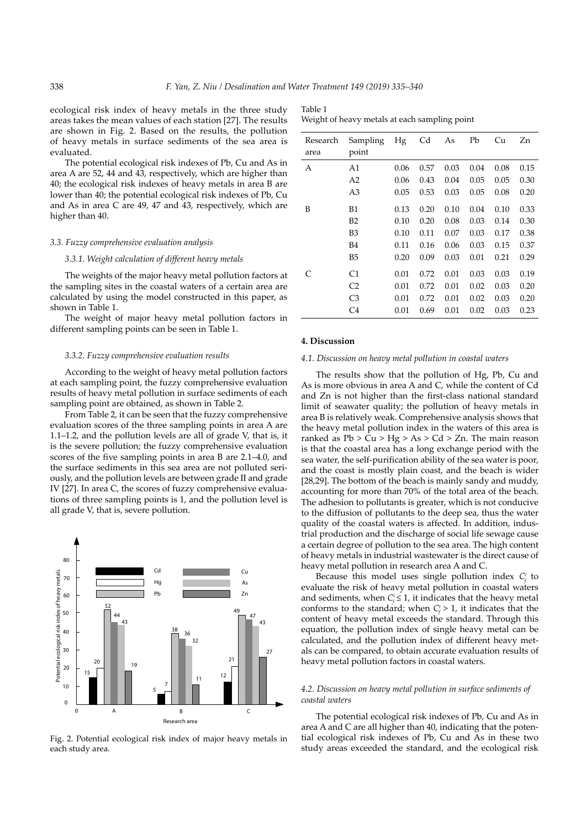ecological risk index of heavy metals in the three study areas takes the mean values of each station [27]. The results are shown in Fig. 2. Based on the results, the pollution of heavy metals in surface sediments of the sea area is evaluated.

The potential ecological risk indexes of Pb, Cu and As in area A are 52, 44 and 43, respectively, which are higher than 40; the ecological risk indexes of heavy metals in area B are lower than 40; the potential ecological risk indexes of Pb, Cu and As in area C are 49, 47 and 43, respectively, which are higher than 40.

## *3.3. Fuzzy comprehensive evaluation analysis*

#### *3.3.1. Weight calculation of different heavy metals*

The weights of the major heavy metal pollution factors at the sampling sites in the coastal waters of a certain area are calculated by using the model constructed in this paper, as shown in Table 1.

The weight of major heavy metal pollution factors in different sampling points can be seen in Table 1.

#### *3.3.2. Fuzzy comprehensive evaluation results*

According to the weight of heavy metal pollution factors at each sampling point, the fuzzy comprehensive evaluation results of heavy metal pollution in surface sediments of each sampling point are obtained, as shown in Table 2.

From Table 2, it can be seen that the fuzzy comprehensive evaluation scores of the three sampling points in area A are 1.1–1.2, and the pollution levels are all of grade V, that is, it is the severe pollution; the fuzzy comprehensive evaluation scores of the five sampling points in area B are 2.1–4.0, and the surface sediments in this sea area are not polluted seriously, and the pollution levels are between grade II and grade IV [27]. In area C, the scores of fuzzy comprehensive evaluations of three sampling points is 1, and the pollution level is all grade V, that is, severe pollution.



Fig. 2. Potential ecological risk index of major heavy metals in each study area.

| Table 1                                       |  |
|-----------------------------------------------|--|
| Weight of heavy metals at each sampling point |  |

| Research<br>area | Sampling<br>point | Hg   | Cd   | As   | Pb   | Cu   | Zn   |
|------------------|-------------------|------|------|------|------|------|------|
| А                | A1                | 0.06 | 0.57 | 0.03 | 0.04 | 0.08 | 0.15 |
|                  | A <sub>2</sub>    | 0.06 | 0.43 | 0.04 | 0.05 | 0.05 | 0.30 |
|                  | A3                | 0.05 | 0.53 | 0.03 | 0.05 | 0.08 | 0.20 |
| B                | B1                | 0.13 | 0.20 | 0.10 | 0.04 | 0.10 | 0.33 |
|                  | B2                | 0.10 | 0.20 | 0.08 | 0.03 | 0.14 | 0.30 |
|                  | B3                | 0.10 | 0.11 | 0.07 | 0.03 | 0.17 | 0.38 |
|                  | B4                | 0.11 | 0.16 | 0.06 | 0.03 | 0.15 | 0.37 |
|                  | B <sub>5</sub>    | 0.20 | 0.09 | 0.03 | 0.01 | 0.21 | 0.29 |
|                  | C <sub>1</sub>    | 0.01 | 0.72 | 0.01 | 0.03 | 0.03 | 0.19 |
|                  | C <sub>2</sub>    | 0.01 | 0.72 | 0.01 | 0.02 | 0.03 | 0.20 |
|                  | C <sub>3</sub>    | 0.01 | 0.72 | 0.01 | 0.02 | 0.03 | 0.20 |
|                  | C <sub>4</sub>    | 0.01 | 0.69 | 0.01 | 0.02 | 0.03 | 0.23 |

#### **4. Discussion**

#### *4.1. Discussion on heavy metal pollution in coastal waters*

The results show that the pollution of Hg, Pb, Cu and As is more obvious in area A and C, while the content of Cd and Zn is not higher than the first-class national standard limit of seawater quality; the pollution of heavy metals in area B is relatively weak. Comprehensive analysis shows that the heavy metal pollution index in the waters of this area is ranked as  $Pb > Cu > Hg > As > Cd > Zn$ . The main reason is that the coastal area has a long exchange period with the sea water, the self-purification ability of the sea water is poor, and the coast is mostly plain coast, and the beach is wider [28,29]. The bottom of the beach is mainly sandy and muddy, accounting for more than 70% of the total area of the beach. The adhesion to pollutants is greater, which is not conducive to the diffusion of pollutants to the deep sea, thus the water quality of the coastal waters is affected. In addition, industrial production and the discharge of social life sewage cause a certain degree of pollution to the sea area. The high content of heavy metals in industrial wastewater is the direct cause of heavy metal pollution in research area A and C.

Because this model uses single pollution index  $C_f^i$  to evaluate the risk of heavy metal pollution in coastal waters and sediments, when  $C_f^i \leq 1$ , it indicates that the heavy metal conforms to the standard; when  $C_f^i > 1$ , it indicates that the content of heavy metal exceeds the standard. Through this equation, the pollution index of single heavy metal can be calculated, and the pollution index of different heavy metals can be compared, to obtain accurate evaluation results of heavy metal pollution factors in coastal waters.

## *4.2. Discussion on heavy metal pollution in surface sediments of coastal waters*

The potential ecological risk indexes of Pb, Cu and As in area A and C are all higher than 40, indicating that the potential ecological risk indexes of Pb, Cu and As in these two study areas exceeded the standard, and the ecological risk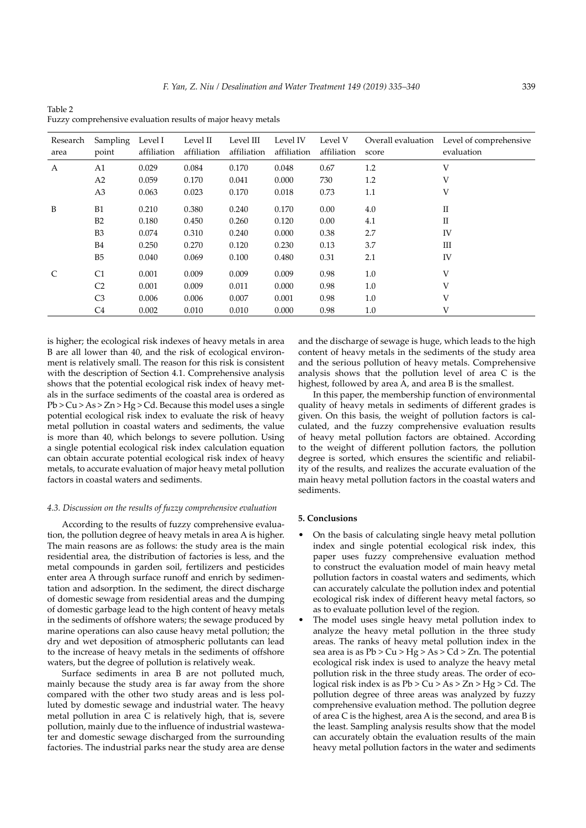| Research<br>area | Sampling<br>point | Level I<br>affiliation | Level II<br>affiliation | Level III<br>affiliation | Level IV<br>affiliation | Level V<br>affiliation | score | Overall evaluation Level of comprehensive<br>evaluation |
|------------------|-------------------|------------------------|-------------------------|--------------------------|-------------------------|------------------------|-------|---------------------------------------------------------|
| $\mathbf{A}$     | A1                | 0.029                  | 0.084                   | 0.170                    | 0.048                   | 0.67                   | 1.2   | V                                                       |
|                  | A <sub>2</sub>    | 0.059                  | 0.170                   | 0.041                    | 0.000                   | 730                    | 1.2   | V                                                       |
|                  | A <sub>3</sub>    | 0.063                  | 0.023                   | 0.170                    | 0.018                   | 0.73                   | 1.1   | V                                                       |
| B                | B1                | 0.210                  | 0.380                   | 0.240                    | 0.170                   | 0.00                   | 4.0   | $\rm _{II}$                                             |
|                  | B2                | 0.180                  | 0.450                   | 0.260                    | 0.120                   | 0.00                   | 4.1   | П                                                       |
|                  | B <sub>3</sub>    | 0.074                  | 0.310                   | 0.240                    | 0.000                   | 0.38                   | 2.7   | IV                                                      |
|                  | <b>B4</b>         | 0.250                  | 0.270                   | 0.120                    | 0.230                   | 0.13                   | 3.7   | Ш                                                       |
|                  | B <sub>5</sub>    | 0.040                  | 0.069                   | 0.100                    | 0.480                   | 0.31                   | 2.1   | IV                                                      |
| C                | C1                | 0.001                  | 0.009                   | 0.009                    | 0.009                   | 0.98                   | 1.0   | V                                                       |
|                  | C <sub>2</sub>    | 0.001                  | 0.009                   | 0.011                    | 0.000                   | 0.98                   | 1.0   | V                                                       |
|                  | C <sub>3</sub>    | 0.006                  | 0.006                   | 0.007                    | 0.001                   | 0.98                   | 1.0   | V                                                       |
|                  | C4                | 0.002                  | 0.010                   | 0.010                    | 0.000                   | 0.98                   | 1.0   | V                                                       |

Table 2 Fuzzy comprehensive evaluation results of major heavy metals

is higher; the ecological risk indexes of heavy metals in area B are all lower than 40, and the risk of ecological environment is relatively small. The reason for this risk is consistent with the description of Section 4.1. Comprehensive analysis shows that the potential ecological risk index of heavy metals in the surface sediments of the coastal area is ordered as  $Pb > Cu > As > Zn > Hg > Cd$ . Because this model uses a single potential ecological risk index to evaluate the risk of heavy metal pollution in coastal waters and sediments, the value is more than 40, which belongs to severe pollution. Using a single potential ecological risk index calculation equation can obtain accurate potential ecological risk index of heavy metals, to accurate evaluation of major heavy metal pollution factors in coastal waters and sediments.

## *4.3. Discussion on the results of fuzzy comprehensive evaluation*

According to the results of fuzzy comprehensive evaluation, the pollution degree of heavy metals in area A is higher. The main reasons are as follows: the study area is the main residential area, the distribution of factories is less, and the metal compounds in garden soil, fertilizers and pesticides enter area A through surface runoff and enrich by sedimentation and adsorption. In the sediment, the direct discharge of domestic sewage from residential areas and the dumping of domestic garbage lead to the high content of heavy metals in the sediments of offshore waters; the sewage produced by marine operations can also cause heavy metal pollution; the dry and wet deposition of atmospheric pollutants can lead to the increase of heavy metals in the sediments of offshore waters, but the degree of pollution is relatively weak.

Surface sediments in area B are not polluted much, mainly because the study area is far away from the shore compared with the other two study areas and is less polluted by domestic sewage and industrial water. The heavy metal pollution in area  $\widetilde{C}$  is relatively high, that is, severe pollution, mainly due to the influence of industrial wastewater and domestic sewage discharged from the surrounding factories. The industrial parks near the study area are dense

and the discharge of sewage is huge, which leads to the high content of heavy metals in the sediments of the study area and the serious pollution of heavy metals. Comprehensive analysis shows that the pollution level of area C is the highest, followed by area  $\overline{A}$ , and area B is the smallest.

In this paper, the membership function of environmental quality of heavy metals in sediments of different grades is given. On this basis, the weight of pollution factors is calculated, and the fuzzy comprehensive evaluation results of heavy metal pollution factors are obtained. According to the weight of different pollution factors, the pollution degree is sorted, which ensures the scientific and reliability of the results, and realizes the accurate evaluation of the main heavy metal pollution factors in the coastal waters and sediments.

#### **5. Conclusions**

- On the basis of calculating single heavy metal pollution index and single potential ecological risk index, this paper uses fuzzy comprehensive evaluation method to construct the evaluation model of main heavy metal pollution factors in coastal waters and sediments, which can accurately calculate the pollution index and potential ecological risk index of different heavy metal factors, so as to evaluate pollution level of the region.
- The model uses single heavy metal pollution index to analyze the heavy metal pollution in the three study areas. The ranks of heavy metal pollution index in the sea area is as  $Pb > Cu > Hg > As > Cd > Zn$ . The potential ecological risk index is used to analyze the heavy metal pollution risk in the three study areas. The order of ecological risk index is as  $Pb > Cu > As > Zn > Hg > Cd$ . The pollution degree of three areas was analyzed by fuzzy comprehensive evaluation method. The pollution degree of area C is the highest, area A is the second, and area B is the least. Sampling analysis results show that the model can accurately obtain the evaluation results of the main heavy metal pollution factors in the water and sediments